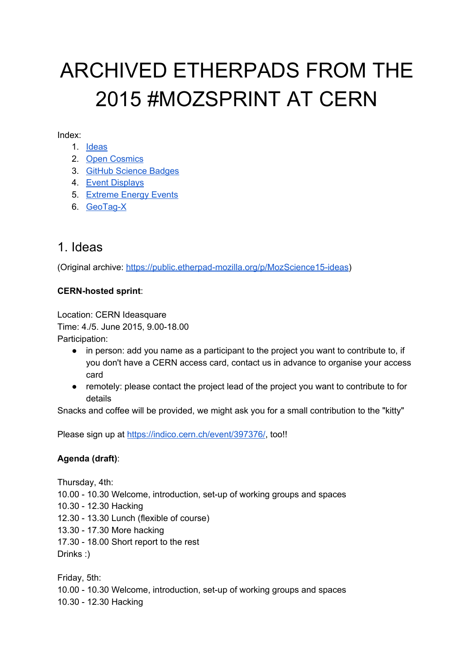# ARCHIVED ETHERPADS FROM THE 2015 #MOZSPRINT AT CERN

Index:

- 1. [Ideas](#page-0-0)
- 2. Open [Cosmics](#page-3-0)
- 3. GitHub [Science](#page-6-0) Badges
- 4. Event [Displays](#page-9-0)
- 5. [Extreme](#page-13-0) Energy Events
- 6. GeoTag-X

### <span id="page-0-0"></span>1. Ideas

(Original archive: https://public.etherpad-mozilla.org/p/MozScience15-ideas)

#### **CERNhosted sprint**:

Location: CERN Ideasquare Time: 4./5. June 2015, 9.00-18.00 Participation:

- in person: add you name as a participant to the project you want to contribute to, if you don't have a CERN access card, contact us in advance to organise your access card
- remotely: please contact the project lead of the project you want to contribute to for details

Snacks and coffee will be provided, we might ask you for a small contribution to the "kitty"

Please sign up at <https://indico.cern.ch/event/397376/>, too!!

#### **Agenda (draft)**:

Thursday, 4th: 10.00 - 10.30 Welcome, introduction, set-up of working groups and spaces 10.30 12.30 Hacking 12.30 13.30 Lunch (flexible of course) 13.30 17.30 More hacking 17.30 - 18.00 Short report to the rest Drinks :)

Friday, 5th: 10.00 - 10.30 Welcome, introduction, set-up of working groups and spaces 10.30 - 12.30 Hacking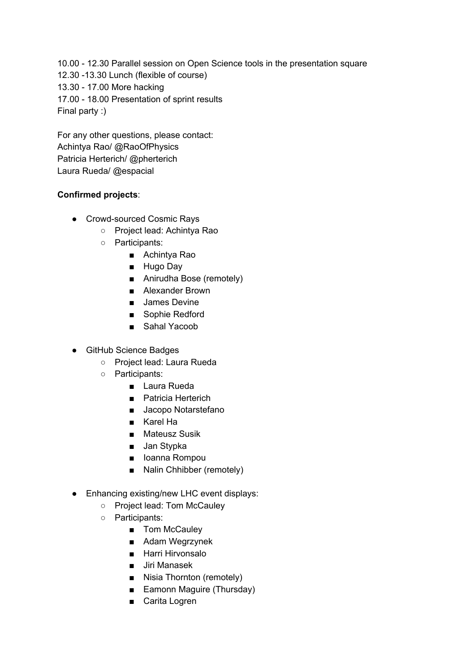10.00 12.30 Parallel session on Open Science tools in the presentation square 12.30 -13.30 Lunch (flexible of course) 13.30 - 17.00 More hacking 17.00 - 18.00 Presentation of sprint results Final party :)

For any other questions, please contact: Achintya Rao/ @RaoOfPhysics Patricia Herterich/ @pherterich Laura Rueda/ @espacial

#### **Confirmed projects**:

- Crowd-sourced Cosmic Rays
	- Project lead: Achintya Rao
	- Participants:
		- Achintya Rao
		- Hugo Day
		- Anirudha Bose (remotely)
		- Alexander Brown
		- James Devine
		- Sophie Redford
		- Sahal Yacoob
- GitHub Science Badges
	- Project lead: Laura Rueda
	- Participants:
		- Laura Rueda
		- Patricia Herterich
		- Jacopo Notarstefano
		- Karel Ha
		- Mateusz Susik
		- Jan Stypka
		- Ioanna Rompou
		- Nalin Chhibber (remotely)
- Enhancing existing/new LHC event displays:
	- Project lead: Tom McCauley
	- Participants:
		- Tom McCauley
		- Adam Wegrzynek
		- Harri Hirvonsalo
		- Jiri Manasek
		- Nisia Thornton (remotely)
		- Eamonn Maguire (Thursday)
		- Carita Logren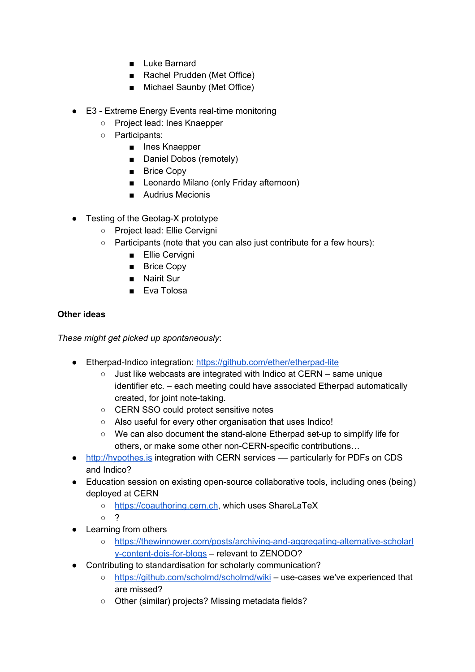- Luke Barnard
- Rachel Prudden (Met Office)
- Michael Saunby (Met Office)
- $\bullet$  E3 Extreme Energy Events real-time monitoring
	- Project lead: Ines Knaepper
	- Participants:
		- Ines Knaepper
		- Daniel Dobos (remotely)
		- Brice Copy
		- Leonardo Milano (only Friday afternoon)
		- Audrius Mecionis
- $\bullet$  Testing of the Geotag-X prototype
	- Project lead: Ellie Cervigni
	- Participants (note that you can also just contribute for a few hours):
		- Ellie Cervigni
		- Brice Copy
		- Nairit Sur
		- Eva Tolosa

#### **Other ideas**

*These might get picked up spontaneously*:

- Etherpad-Indico integration: https://github.com/ether/etherpad-lite
	- Just like webcasts are integrated with Indico at CERN same unique identifier etc. – each meeting could have associated Etherpad automatically created, for joint note-taking.
	- CERN SSO could protect sensitive notes
	- Also useful for every other organisation that uses Indico!
	- We can also document the stand-alone Etherpad set-up to simplify life for others, or make some other non-CERN-specific contributions...
- [http://hypothes.is](http://hypothes.is/) integration with CERN services particularly for PDFs on CDS and Indico?
- Education session on existing open-source collaborative tools, including ones (being) deployed at CERN
	- [https://coauthoring.cern.ch,](https://coauthoring.cern.ch/) which uses ShareLaTeX

○ ?

- Learning from others
	- https://thewinnower.com/posts/archiving-and-aggregating-alternative-scholarl y-content-dois-for-blogs – relevant to ZENODO?
- Contributing to standardisation for scholarly communication?
	- <https://github.com/scholmd/scholmd/wiki> usecases we've experienced that are missed?
	- Other (similar) projects? Missing metadata fields?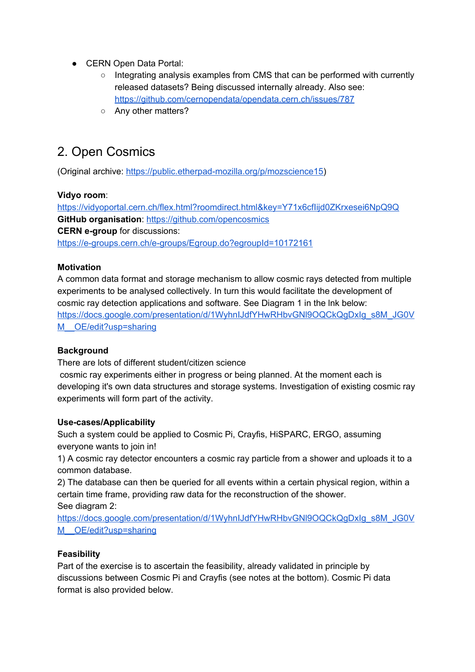- CERN Open Data Portal:
	- Integrating analysis examples from CMS that can be performed with currently released datasets? Being discussed internally already. Also see: <https://github.com/cernopendata/opendata.cern.ch/issues/787>
	- Any other matters?

## <span id="page-3-0"></span>2. Open Cosmics

(Original archive: https://public.etherpad-mozilla.org/p/mozscience15)

#### **Vidyo room**:

<https://vidyoportal.cern.ch/flex.html?roomdirect.html&key=Y71x6cfIijd0ZKrxesei6NpQ9Q> **GitHub organisation**: <https://github.com/opencosmics> **CERN e-group** for discussions[:](https://e-groups.cern.ch/e-groups/Egroup.do?egroupId=10172161) https://e-groups.cern.ch/e-groups/Egroup.do?egroupId=10172161

#### **Motivation**

A common data format and storage mechanism to allow cosmic rays detected from multiple experiments to be analysed collectively. In turn this would facilitate the development of cosmic ray detection applications and software. See Diagram 1 in the lnk below: [https://docs.google.com/presentation/d/1WyhnIJdfYHwRHbvGNl9OQCkQgDxIg\\_s8M\\_JG0V](https://docs.google.com/presentation/d/1WyhnIJdfYHwRHbvGNl9OQCkQgDxIg_s8M_JG0VM__OE/edit?usp=sharing) M OE/edit?usp=sharing

#### **Background**

There are lots of different student/citizen science

cosmic ray experiments either in progress or being planned. At the moment each is developing it's own data structures and storage systems. Investigation of existing cosmic ray experiments will form part of the activity.

#### Use-cases/Applicability

Such a system could be applied to Cosmic Pi, Crayfis, HiSPARC, ERGO, assuming everyone wants to join in!

1) A cosmic ray detector encounters a cosmic ray particle from a shower and uploads it to a common database.

2) The database can then be queried for all events within a certain physical region, within a certain time frame, providing raw data for the reconstruction of the shower. See diagram 2:

[https://docs.google.com/presentation/d/1WyhnIJdfYHwRHbvGNl9OQCkQgDxIg\\_s8M\\_JG0V](https://docs.google.com/presentation/d/1WyhnIJdfYHwRHbvGNl9OQCkQgDxIg_s8M_JG0VM__OE/edit?usp=sharing) M OE/edit?usp=sharing

#### **Feasibility**

Part of the exercise is to ascertain the feasibility, already validated in principle by discussions between Cosmic Pi and Crayfis (see notes at the bottom). Cosmic Pi data format is also provided below.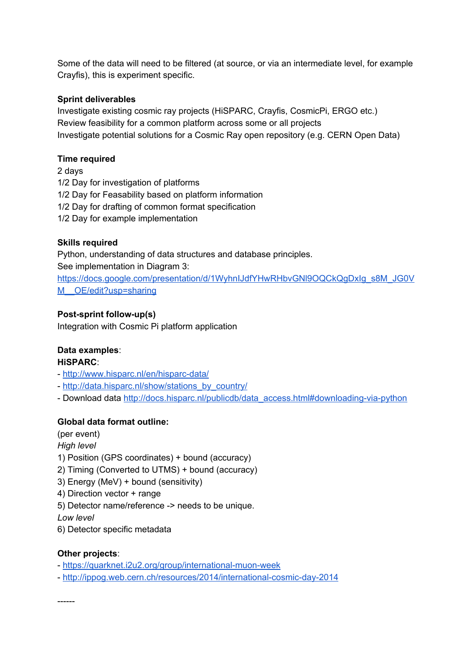Some of the data will need to be filtered (at source, or via an intermediate level, for example Crayfis), this is experiment specific.

#### **Sprint deliverables**

Investigate existing cosmic ray projects (HiSPARC, Crayfis, CosmicPi, ERGO etc.) Review feasibility for a common platform across some or all projects Investigate potential solutions for a Cosmic Ray open repository (e.g. CERN Open Data)

#### **Time required**

2 days 1/2 Day for investigation of platforms 1/2 Day for Feasability based on platform information 1/2 Day for drafting of common format specification 1/2 Day for example implementation

#### **Skills required**

Python, understanding of data structures and database principles. See implementation in Diagram 3:

[https://docs.google.com/presentation/d/1WyhnIJdfYHwRHbvGNl9OQCkQgDxIg\\_s8M\\_JG0V](https://docs.google.com/presentation/d/1WyhnIJdfYHwRHbvGNl9OQCkQgDxIg_s8M_JG0VM__OE/edit?usp=sharing) M OE/edit?usp=sharing

#### **Post-sprint follow-up(s)**

Integration with Cosmic Pi platform application

#### **Data examples**:

#### **HiSPARC**:

- http://www.hisparc.nl/en/hisparc-data/
- [http://data.hisparc.nl/show/stations\\_by\\_country/](http://data.hisparc.nl/show/stations_by_country/)
- Downlo[a](http://docs.hisparc.nl/publicdb/data_access.html#downloading-via-python)d data http://docs.hisparc.nl/publicdb/data\_access.html#downloading-via-python

#### **Global data format outline:**

(per event) *High level* 1) Position (GPS coordinates) + bound (accuracy) 2) Timing (Converted to UTMS) + bound (accuracy) 3) Energy (MeV) + bound (sensitivity) 4) Direction vector + range 5) Detector name/reference > needs to be unique. *Low level* 6) Detector specific metadata

#### **Other projects**:

- https://quarknet.i2u2.org/group/international-muon-week
- http://ippog.web.cern.ch/resources/2014/international-cosmic-day-2014

------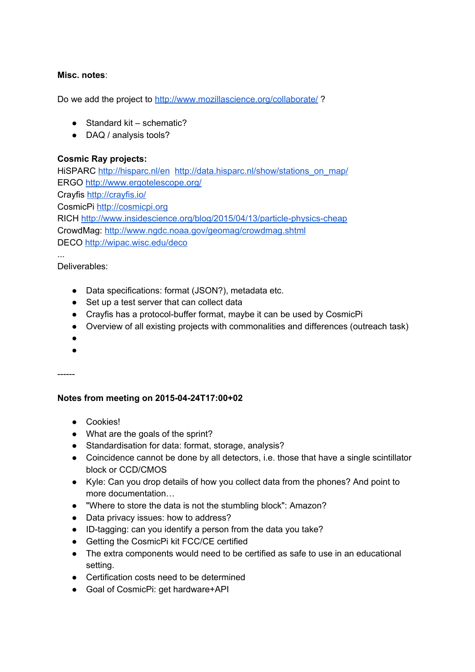#### **Misc. notes**:

D[o](http://www.mozillascience.org/collaborate/) we add the project to <http://www.mozillascience.org/collaborate/>?

- $\bullet$  Standard kit schematic?
- DAQ / analysis tools?

#### **Cosmic Ray projects:**

HiSPARC <http://hisparc.nl/en> [http://data.hisparc.nl/show/stations\\_on\\_map/](http://data.hisparc.nl/show/stations_on_map/) ERGO <http://www.ergotelescope.org/> Crayfi[s](http://crayfis.io/) <http://crayfis.io/> CosmicP[i](http://cosmicpi.org/) [http://cosmicpi.org](http://cosmicpi.org/) RIC[H](http://www.insidescience.org/blog/2015/04/13/particle-physics-cheap) http://www.insidescience.org/blog/2015/04/13/particle-physics-cheap CrowdMag: <http://www.ngdc.noaa.gov/geomag/crowdmag.shtml> DEC[O](http://wipac.wisc.edu/deco) <http://wipac.wisc.edu/deco>

Deliverables:

...

- Data specifications: format (JSON?), metadata etc.
- Set up a test server that can collect data
- Crayfis has a protocol-buffer format, maybe it can be used by CosmicPi
- Overview of all existing projects with commonalities and differences (outreach task)
- ●
- ●

------

#### **Notes from meeting on 20150424T17:00+02**

- Cookies!
- What are the goals of the sprint?
- Standardisation for data: format, storage, analysis?
- Coincidence cannot be done by all detectors, i.e. those that have a single scintillator block or CCD/CMOS
- Kyle: Can you drop details of how you collect data from the phones? And point to more documentation…
- "Where to store the data is not the stumbling block": Amazon?
- Data privacy issues: how to address?
- ID-tagging: can you identify a person from the data you take?
- Getting the CosmicPi kit FCC/CE certified
- The extra components would need to be certified as safe to use in an educational setting.
- Certification costs need to be determined
- Goal of CosmicPi: get hardware+API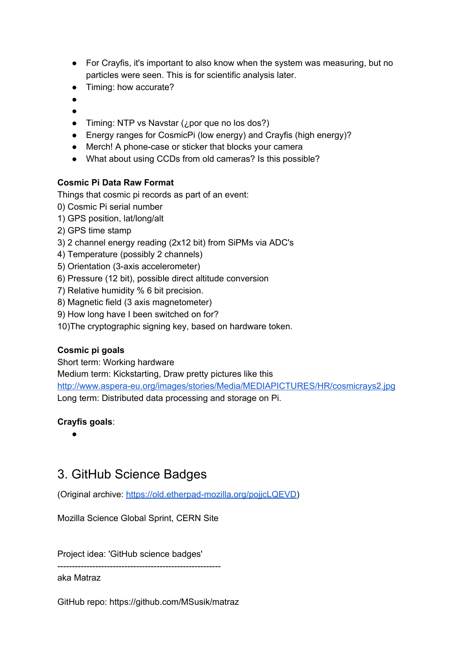- For Crayfis, it's important to also know when the system was measuring, but no particles were seen. This is for scientific analysis later.
- Timing: how accurate?
- ●
- ●
- Timing: NTP vs Navstar  $(i)$  por que no los dos?)
- Energy ranges for CosmicPi (low energy) and Crayfis (high energy)?
- Merch! A phone-case or sticker that blocks your camera
- What about using CCDs from old cameras? Is this possible?

#### **Cosmic Pi Data Raw Format**

Things that cosmic pi records as part of an event:

- 0) Cosmic Pi serial number
- 1) GPS position, lat/long/alt
- 2) GPS time stamp
- 3) 2 channel energy reading (2x12 bit) from SiPMs via ADC's
- 4) Temperature (possibly 2 channels)
- 5) Orientation (3-axis accelerometer)
- 6) Pressure (12 bit), possible direct altitude conversion
- 7) Relative humidity % 6 bit precision.
- 8) Magnetic field (3 axis magnetometer)
- 9) How long have I been switched on for?
- 10)The cryptographic signing key, based on hardware token.

#### **Cosmic pi goals**

Short term: Working hardware

Medium term: Kickstarting, Draw pretty pictures like thi[s](http://www.aspera-eu.org/images/stories/Media/MEDIAPICTURES/HR/cosmicrays2.jpg)

http://www.aspera-eu.org/images/stories/Media/MEDIAPICTURES/HR/cosmicrays2.jpg Long term: Distributed data processing and storage on Pi.

#### **Crayfis goals**:

●

### <span id="page-6-0"></span>3. GitHub Science Badges

(Original archive: https://old.etherpad-mozilla.org/pojjcLQEVD)

Mozilla Science Global Sprint, CERN Site

Project idea: 'GitHub science badges'

aka Matraz

GitHub repo: https://github.com/MSusik/matraz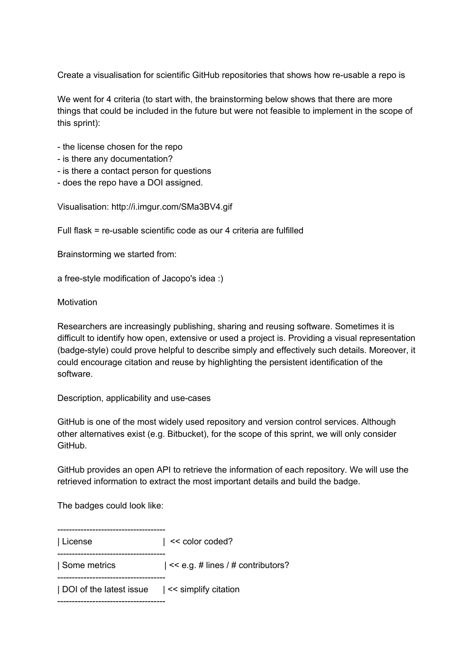Create a visualisation for scientific GitHub repositories that shows how re-usable a repo is

We went for 4 criteria (to start with, the brainstorming below shows that there are more things that could be included in the future but were not feasible to implement in the scope of this sprint):

- the license chosen for the repo
- is there any documentation?
- is there a contact person for questions
- does the repo have a DOI assigned.

Visualisation: http://i.imgur.com/SMa3BV4.gif

Full flask = re-usable scientific code as our 4 criteria are fulfilled

Brainstorming we started from:

a free-style modification of Jacopo's idea :)

**Motivation** 

Researchers are increasingly publishing, sharing and reusing software. Sometimes it is difficult to identify how open, extensive or used a project is. Providing a visual representation (badge-style) could prove helpful to describe simply and effectively such details. Moreover, it could encourage citation and reuse by highlighting the persistent identification of the software.

Description, applicability and use-cases

GitHub is one of the most widely used repository and version control services. Although other alternatives exist (e.g. Bitbucket), for the scope of this sprint, we will only consider **GitHub.** 

GitHub provides an open API to retrieve the information of each repository. We will use the retrieved information to extract the most important details and build the badge.

The badges could look like:

-------------------------------------| License | << color coded? --------------------------------------| Some metrics | << e.g. # lines / # contributors? -----------------------------------| DOI of the latest issue | << simplify citation \_\_\_\_\_\_\_\_\_\_\_\_\_\_\_\_\_\_\_\_\_\_\_\_\_\_\_\_\_\_\_\_\_\_\_\_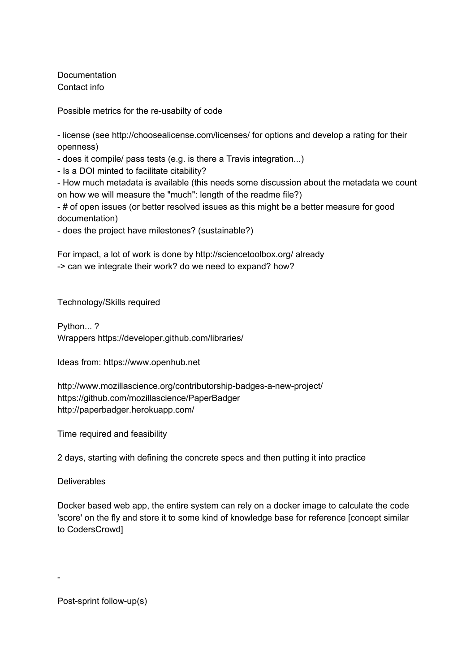Documentation Contact info

Possible metrics for the re-usabilty of code

- license (see http://choosealicense.com/licenses/ for options and develop a rating for their openness)

does it compile/ pass tests (e.g. is there a Travis integration...)

- Is a DOI minted to facilitate citability?

- How much metadata is available (this needs some discussion about the metadata we count on how we will measure the "much": length of the readme file?)

- # of open issues (or better resolved issues as this might be a better measure for good documentation)

does the project have milestones? (sustainable?)

For impact, a lot of work is done by http://sciencetoolbox.org/ already > can we integrate their work? do we need to expand? how?

Technology/Skills required

Python... ? Wrappers https://developer.github.com/libraries/

Ideas from: https://www.openhub.net

http://www.mozillascience.org/contributorship-badges-a-new-project/ https://github.com/mozillascience/PaperBadger http://paperbadger.herokuapp.com/

Time required and feasibility

2 days, starting with defining the concrete specs and then putting it into practice

**Deliverables** 

 $\overline{\phantom{a}}$ 

Docker based web app, the entire system can rely on a docker image to calculate the code 'score' on the fly and store it to some kind of knowledge base for reference [concept similar to CodersCrowd]

Post-sprint follow-up(s)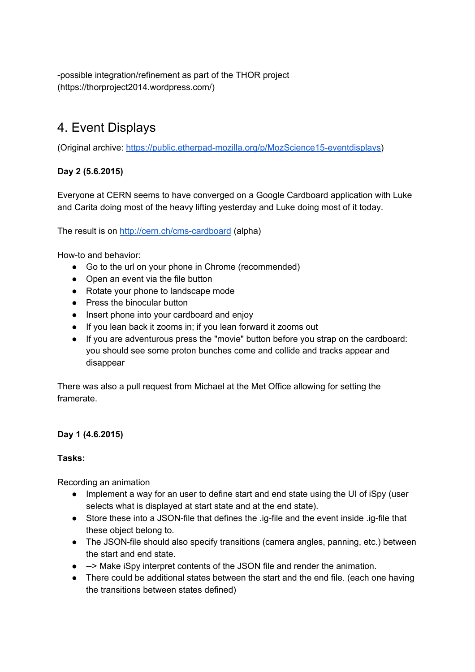possible integration/refinement as part of the THOR project (https://thorproject2014.wordpress.com/)

# <span id="page-9-0"></span>4. Event Displays

(Original archive: https://public.etherpad-mozilla.org/p/MozScience15-eventdisplays)

#### **Day 2 (5.6.2015)**

Everyone at CERN seems to have converged on a Google Cardboard application with Luke and Carita doing most of the heavy lifting yesterday and Luke doing most of it today.

The result is on http://cern.ch/cms-cardboard (alpha)

How-to and behavior:

- Go to the url on your phone in Chrome (recommended)
- Open an event via the file button
- Rotate your phone to landscape mode
- Press the binocular button
- Insert phone into your cardboard and enjoy
- If you lean back it zooms in; if you lean forward it zooms out
- If you are adventurous press the "movie" button before you strap on the cardboard: you should see some proton bunches come and collide and tracks appear and disappear

There was also a pull request from Michael at the Met Office allowing for setting the framerate.

#### **Day 1 (4.6.2015)**

#### **Tasks:**

Recording an animation

- Implement a way for an user to define start and end state using the UI of iSpy (user selects what is displayed at start state and at the end state).
- Store these into a JSON-file that defines the .ig-file and the event inside .ig-file that these object belong to.
- The JSON-file should also specify transitions (camera angles, panning, etc.) between the start and end state.
- --> Make iSpy interpret contents of the JSON file and render the animation.
- There could be additional states between the start and the end file. (each one having the transitions between states defined)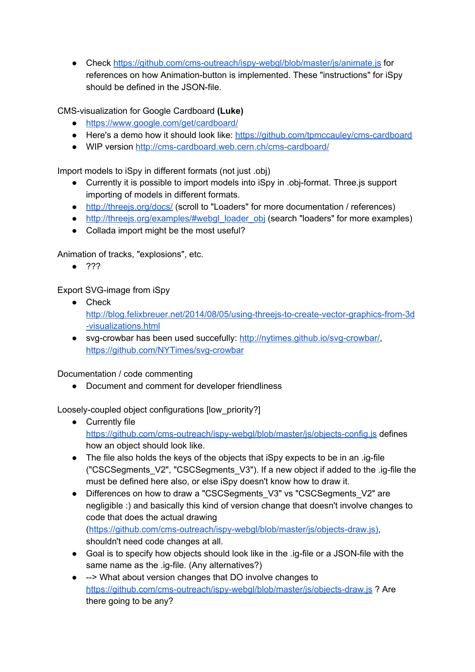• Chec[k](https://github.com/cms-outreach/ispy-webgl/blob/master/js/animate.js) https://github.com/cms-outreach/ispy-webgl/blob/master/js/animate.js for references on how Animation-button is implemented. These "instructions" for iSpy should be defined in the JSON-file.

**CMS-visualization for Google Cardboard (Luke)** 

- <https://www.google.com/get/cardboard/>
- Here's a demo how it should look like: https://github.com/tpmccauley/cms-cardboard
- WIP version http://cms-cardboard.web.cern.ch/cms-cardboard/

Import models to iSpy in different formats (not just .obj)

- Currently it is possible to import models into iSpy in .obj-format. Three.js support importing of models in different formats.
- <http://threejs.org/docs/> (scroll to "Loaders" for more documentation / references)
- [http://threejs.org/examples/#webgl\\_loader\\_obj](http://threejs.org/examples/#webgl_loader_obj) (search "loaders" for more examples)
- Collada import might be the most useful?

Animation of tracks, "explosions", etc.

● ???

Export SVG-image from iSpy

- Chec[k](http://blog.felixbreuer.net/2014/08/05/using-threejs-to-create-vector-graphics-from-3d-visualizations.html) http://blog.felixbreuer.net/2014/08/05/using-threejs-to-create-vector-graphics-from-3d [visualizations.html](http://blog.felixbreuer.net/2014/08/05/using-threejs-to-create-vector-graphics-from-3d-visualizations.html)
- $\bullet$  svg-crowbar has been used succefully[:](http://nytimes.github.io/svg-crowbar/) http://nytimes.github.io/svg-crowbar/, https://github.com/NYTimes/svg-crowbar

Documentation / code commenting

● Document and comment for developer friendliness

Loosely-coupled object configurations [low\_priority?]

- Curr[e](https://github.com/cms-outreach/ispy-webgl/blob/master/js/objects-config.js)ntly file https://github.com/cms-outreach/ispy-webgl/blob/master/js/objects-config.js defines how an object should look like.
- The file also holds the keys of the objects that iSpy expects to be in an .ig-file ("CSCSegments\_V2", "CSCSegments\_V3"). If a new object if added to the .ig-file the must be defined here also, or else iSpy doesn't know how to draw it.
- Differences on how to draw a "CSCSegments\_V3" vs "CSCSegments\_V2" are negligible :) and basically this kind of version change that doesn't involve changes to code that does the actual drawing (https://github.com/cms-outreach/ispy-webgl/blob/master/js/objects-draw.js), shouldn't need code changes at all.
- Goal is to specify how objects should look like in the .ig-file or a JSON-file with the same name as the .ig-file. (Any alternatives?)
- --> What ab[o](https://github.com/cms-outreach/ispy-webgl/blob/master/js/objects-draw.js)ut version changes that DO involve changes to https://github.com/cms-outreach/ispy-webgl/blob/master/js/objects-draw.js ? Are there going to be any?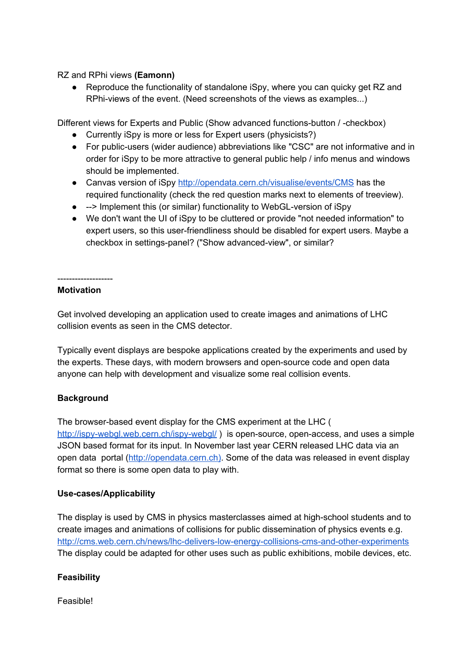RZ and RPhi views **(Eamonn)**

● Reproduce the functionality of standalone iSpy, where you can quicky get RZ and RPhi-views of the event. (Need screenshots of the views as examples...)

Different views for Experts and Public (Show advanced functions-button / -checkbox)

- Currently iSpy is more or less for Expert users (physicists?)
- For public-users (wider audience) abbreviations like "CSC" are not informative and in order for iSpy to be more attractive to general public help / info menus and windows should be implemented.
- Canvas version of iSp[y](http://opendata.cern.ch/visualise/events/CMS) <http://opendata.cern.ch/visualise/events/CMS> has the required functionality (check the red question marks next to elements of treeview).
- --> Implement this (or similar) functionality to WebGL-version of iSpy
- We don't want the UI of iSpy to be cluttered or provide "not needed information" to expert users, so this user-friendliness should be disabled for expert users. Maybe a checkbox in settings-panel? ("Show advanced-view", or similar?

#### -------------------**Motivation**

Get involved developing an application used to create images and animations of LHC collision events as seen in the CMS detector.

Typically event displays are bespoke applications created by the experiments and used by the experts. These days, with modern browsers and open-source code and open data anyone can help with development and visualize some real collision events.

#### **Background**

The browser-based event display for the CMS experiment at the LHC [\(](http://ispy-webgl.web.cern.ch/ispy-webgl/) http://ispy-webgl.web.cern.ch/ispy-webgl/) is open-source, open-access, and uses a simple JSON based format for its input. In November last year CERN released LHC data via an open data portal (http://opendata.cern.ch). Some of the data was released in event display format so there is some open data to play with.

#### Use-cases/Applicability

The display is used by CMS in physics masterclasses aimed at high-school students and to create images and animations of collisions for public dissemination of physics events e.g. http://cms.web.cern.ch/news/lhc-delivers-low-energy-collisions-cms-and-other-experiments The display could be adapted for other uses such as public exhibitions, mobile devices, etc.

#### **Feasibility**

Feasible!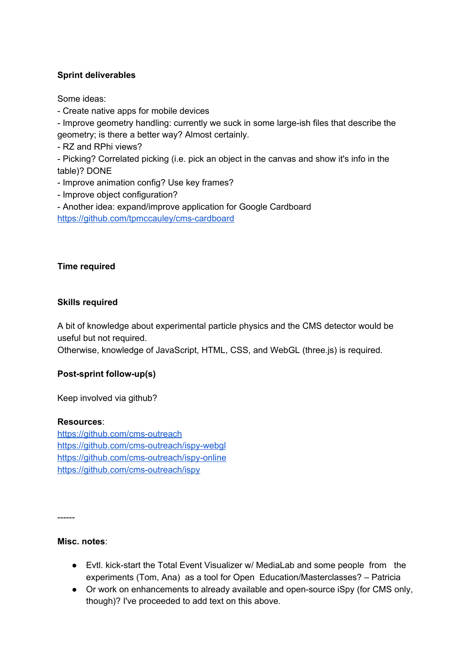#### **Sprint deliverables**

Some ideas:

Create native apps for mobile devices

- Improve geometry handling: currently we suck in some large-ish files that describe the geometry; is there a better way? Almost certainly.

- RZ and RPhi views?

 Picking? Correlated picking (i.e. pick an object in the canvas and show it's info in the table)? DONE

- Improve animation config? Use key frames?

- Improve object configuration?

 Another idea: expand/improve application for Google Cardboard https://github.com/tpmccauley/cms-cardboard

#### **Time required**

#### **Skills required**

A bit of knowledge about experimental particle physics and the CMS detector would be useful but not required.

Otherwise, knowledge of JavaScript, HTML, CSS, and WebGL (three.js) is required.

#### **Post-sprint follow-up(s)**

Keep involved via github?

#### **Resources**:

https://github.com/cms-outreach https://github.com/cms-outreach/ispy-webgl https://github.com/cms-outreach/ispy-online https://github.com/cms-outreach/ispy

------

#### **Misc. notes**:

- Evtl. kick-start the Total Event Visualizer w/ MediaLab and some people from the experiments (Tom, Ana) as a tool for Open Education/Masterclasses? – Patricia
- Or work on enhancements to already available and open-source iSpy (for CMS only, though)? I've proceeded to add text on this above.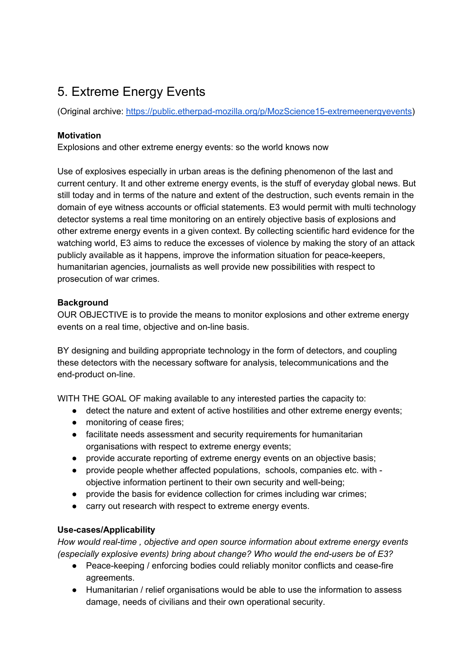# <span id="page-13-0"></span>5. Extreme Energy Events

(Original archive: https://public.etherpad-mozilla.org/p/MozScience15-extremeenergyevents)

#### **Motivation**

Explosions and other extreme energy events: so the world knows now

Use of explosives especially in urban areas is the defining phenomenon of the last and current century. It and other extreme energy events, is the stuff of everyday global news. But still today and in terms of the nature and extent of the destruction, such events remain in the domain of eye witness accounts or official statements. E3 would permit with multi technology detector systems a real time monitoring on an entirely objective basis of explosions and other extreme energy events in a given context. By collecting scientific hard evidence for the watching world, E3 aims to reduce the excesses of violence by making the story of an attack publicly available as it happens, improve the information situation for peace-keepers, humanitarian agencies, journalists as well provide new possibilities with respect to prosecution of war crimes.

#### **Background**

OUR OBJECTIVE is to provide the means to monitor explosions and other extreme energy events on a real time, objective and on-line basis.

BY designing and building appropriate technology in the form of detectors, and coupling these detectors with the necessary software for analysis, telecommunications and the end-product on-line.

WITH THE GOAL OF making available to any interested parties the capacity to:

- detect the nature and extent of active hostilities and other extreme energy events;
- monitoring of cease fires;
- facilitate needs assessment and security requirements for humanitarian organisations with respect to extreme energy events;
- provide accurate reporting of extreme energy events on an objective basis;
- provide people whether affected populations, schools, companies etc. with objective information pertinent to their own security and well-being;
- provide the basis for evidence collection for crimes including war crimes;
- carry out research with respect to extreme energy events.

#### Use-cases/Applicability

*How would realtime , objective and open source information about extreme energy events (especially explosive events) bring about change? Who would the endusers be of E3?*

- Peace-keeping / enforcing bodies could reliably monitor conflicts and cease-fire agreements.
- Humanitarian / relief organisations would be able to use the information to assess damage, needs of civilians and their own operational security.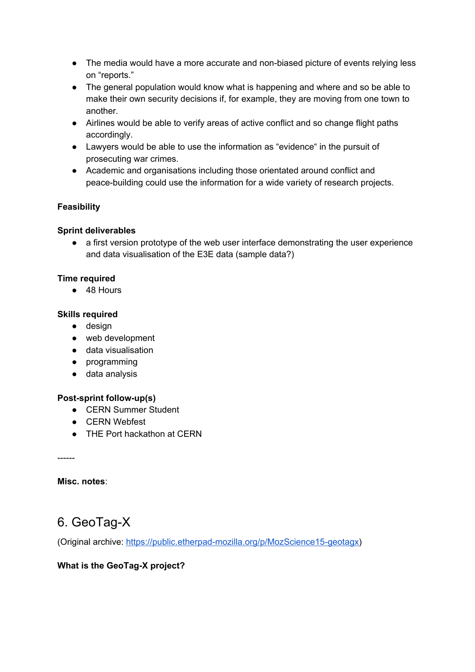- The media would have a more accurate and non-biased picture of events relying less on "reports."
- The general population would know what is happening and where and so be able to make their own security decisions if, for example, they are moving from one town to another.
- Airlines would be able to verify areas of active conflict and so change flight paths accordingly.
- Lawyers would be able to use the information as "evidence" in the pursuit of prosecuting war crimes.
- Academic and organisations including those orientated around conflict and peace-building could use the information for a wide variety of research projects.

#### **Feasibility**

#### **Sprint deliverables**

• a first version prototype of the web user interface demonstrating the user experience and data visualisation of the E3E data (sample data?)

#### **Time required**

● 48 Hours

#### **Skills required**

- design
- web development
- data visualisation
- programming
- data analysis

#### **Post-sprint follow-up(s)**

- CERN Summer Student
- CERN Webfest
- THE Port hackathon at CERN

------

**Misc. notes**:

### <span id="page-14-0"></span>6. GeoTag-X

(Original archive: https://public.etherpad-mozilla.org/p/MozScience15-geotagx)

#### **What is the GeoTag-X project?**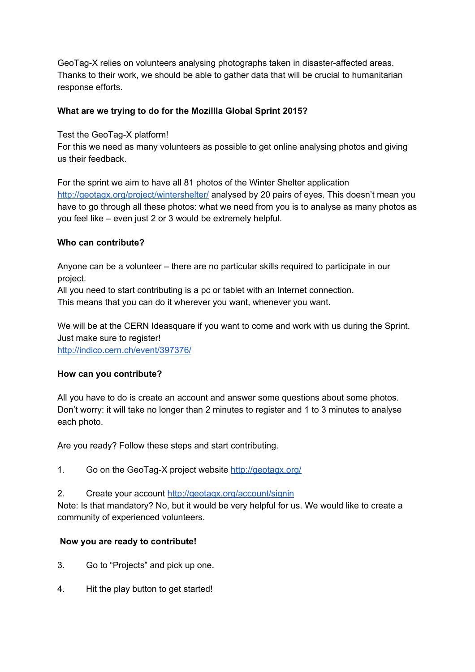GeoTag-X relies on volunteers analysing photographs taken in disaster-affected areas. Thanks to their work, we should be able to gather data that will be crucial to humanitarian response efforts.

#### **What are we trying to do for the Mozillla Global Sprint 2015?**

Test the GeoTaq-X platform!

For this we need as many volunteers as possible to get online analysing photos and giving us their feedback.

For the sprint we aim to have all 81 photos of the Winter Shelter applicatio[n](http://geotagx.org/project/wintershelter/) <http://geotagx.org/project/wintershelter/> analysed by 20 pairs of eyes. This doesn't mean you have to go through all these photos: what we need from you is to analyse as many photos as you feel like – even just 2 or 3 would be extremely helpful.

#### **Who can contribute?**

Anyone can be a volunteer – there are no particular skills required to participate in our project.

All you need to start contributing is a pc or tablet with an Internet connection. This means that you can do it wherever you want, whenever you want.

We will be at the CERN Ideasquare if you want to come and work with us during the Sprint. Just make sure to register! <http://indico.cern.ch/event/397376/>

#### **How can you contribute?**

All you have to do is create an account and answer some questions about some photos. Don't worry: it will take no longer than 2 minutes to register and 1 to 3 minutes to analyse each photo.

Are you ready? Follow these steps and start contributing.

1. Go on th[e](http://geotagx.org/) GeoTag-X project website <http://geotagx.org/>

2. Create your account <http://geotagx.org/account/signin>

Note: Is that mandatory? No, but it would be very helpful for us. We would like to create a community of experienced volunteers.

#### **Now you are ready to contribute!**

- 3. Go to "Projects" and pick up one.
- 4. Hit the play button to get started!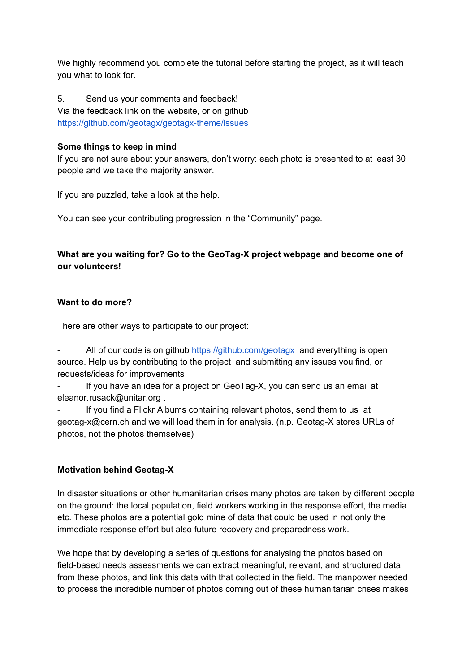We highly recommend you complete the tutorial before starting the project, as it will teach you what to look for.

5. Send us your comments and feedback! Via the feedback link on the website, or on githu[b](https://github.com/geotagx/geotagx-theme/issues) https://github.com/geotagx/geotagx-theme/issues

#### **Some things to keep in mind**

If you are not sure about your answers, don't worry: each photo is presented to at least 30 people and we take the majority answer.

If you are puzzled, take a look at the help.

You can see your contributing progression in the "Community" page.

#### **What** are you waiting for? Go to the GeoTag-X project webpage and become one of **our volunteers!**

#### **Want to do more?**

There are other ways to participate to our project:

 All of our code is on githu[b](https://github.com/geotagx) <https://github.com/geotagx> and everything is open source. Help us by contributing to the project and submitting any issues you find, or requests/ideas for improvements

If you have an idea for a project on GeoTag-X, you can send us an email at eleanor.rusack@unitar.org .

 If you find a Flickr Albums containing relevant photos, send them to us at geotag-x@cern.ch and we will load them in for analysis. (n.p. Geotag-X stores URLs of photos, not the photos themselves)

#### **Motivation behind Geotag-X**

In disaster situations or other humanitarian crises many photos are taken by different people on the ground: the local population, field workers working in the response effort, the media etc. These photos are a potential gold mine of data that could be used in not only the immediate response effort but also future recovery and preparedness work.

We hope that by developing a series of questions for analysing the photos based on field-based needs assessments we can extract meaningful, relevant, and structured data from these photos, and link this data with that collected in the field. The manpower needed to process the incredible number of photos coming out of these humanitarian crises makes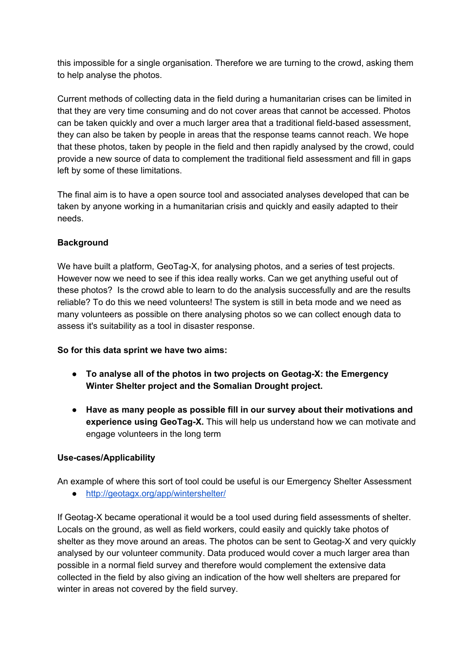this impossible for a single organisation. Therefore we are turning to the crowd, asking them to help analyse the photos.

Current methods of collecting data in the field during a humanitarian crises can be limited in that they are very time consuming and do not cover areas that cannot be accessed. Photos can be taken quickly and over a much larger area that a traditional field-based assessment, they can also be taken by people in areas that the response teams cannot reach. We hope that these photos, taken by people in the field and then rapidly analysed by the crowd, could provide a new source of data to complement the traditional field assessment and fill in gaps left by some of these limitations.

The final aim is to have a open source tool and associated analyses developed that can be taken by anyone working in a humanitarian crisis and quickly and easily adapted to their needs.

#### **Background**

We have built a platform, GeoTag-X, for analysing photos, and a series of test projects. However now we need to see if this idea really works. Can we get anything useful out of these photos? Is the crowd able to learn to do the analysis successfully and are the results reliable? To do this we need volunteers! The system is still in beta mode and we need as many volunteers as possible on there analysing photos so we can collect enough data to assess it's suitability as a tool in disaster response.

#### **So for this data sprint we have two aims:**

- **To analyse all of the photos in two projects on GeotagX: the Emergency Winter Shelter project and the Somalian Drought project.**
- **Have as many people as possible fill in our survey about their motivations and experience using GeoTag-X.** This will help us understand how we can motivate and engage volunteers in the long term

#### Use-cases/Applicability

An example of where this sort of tool could be useful is our Emergency Shelter Assessment

● <http://geotagx.org/app/wintershelter/>

If Geotag-X became operational it would be a tool used during field assessments of shelter. Locals on the ground, as well as field workers, could easily and quickly take photos of shelter as they move around an areas. The photos can be sent to Geotag-X and very quickly analysed by our volunteer community. Data produced would cover a much larger area than possible in a normal field survey and therefore would complement the extensive data collected in the field by also giving an indication of the how well shelters are prepared for winter in areas not covered by the field survey.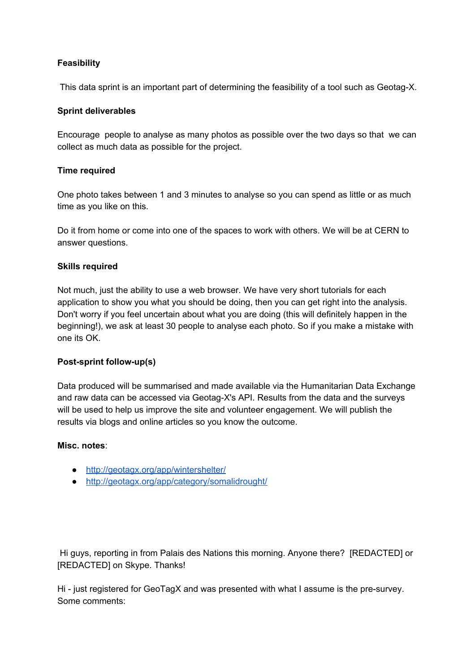#### **Feasibility**

This data sprint is an important part of determining the feasibility of a tool such as Geotag-X.

#### **Sprint deliverables**

Encourage people to analyse as many photos as possible over the two days so that we can collect as much data as possible for the project.

#### **Time required**

One photo takes between 1 and 3 minutes to analyse so you can spend as little or as much time as you like on this.

Do it from home or come into one of the spaces to work with others. We will be at CERN to answer questions.

#### **Skills required**

Not much, just the ability to use a web browser. We have very short tutorials for each application to show you what you should be doing, then you can get right into the analysis. Don't worry if you feel uncertain about what you are doing (this will definitely happen in the beginning!), we ask at least 30 people to analyse each photo. So if you make a mistake with one its OK.

#### **Post-sprint follow-up(s)**

Data produced will be summarised and made available via the Humanitarian Data Exchange and raw data can be accessed via Geotag-X's API. Results from the data and the surveys will be used to help us improve the site and volunteer engagement. We will publish the results via blogs and online articles so you know the outcome.

#### **Misc. notes**:

- <http://geotagx.org/app/wintershelter/>
- <http://geotagx.org/app/category/somalidrought/>

Hi guys, reporting in from Palais des Nations this morning. Anyone there? [REDACTED] or [REDACTED] on Skype. Thanks!

Hi - just registered for GeoTagX and was presented with what I assume is the pre-survey. Some comments: